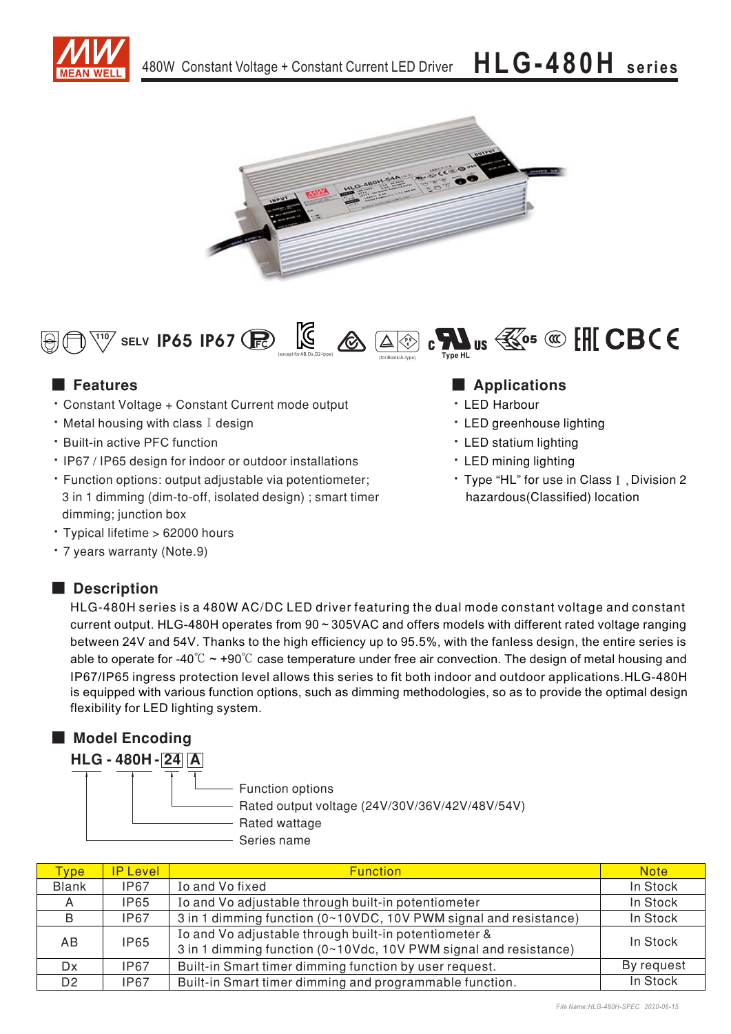





## ■ Features

- Constant Voltage + Constant Current mode output
- $\cdot$  Metal housing with class I design
- Built-in active PFC function
- . IP67 / IP65 design for indoor or outdoor installations
- · Function options: output adjustable via potentiometer; 3 in 1 dimming (dim-to-off, isolated design) ; smart timer dimming; junction box
- Typical lifetime > 62000 hours
- \* 7 years warranty (Note.9)

## ■ **Description**

## **Applications**

- LED Harbour
- LED greenhouse lighting
- LED statium lighting
- LED mining lighting
- \* Type "HL" for use in Class I, Division 2 hazardous(Classified) location

HLG-480H series is a 480W AC/DC LED driver featuring the dual mode constant voltage and constant current output. HLG-480H operates from  $90 \sim 305$ VAC and offers models with different rated voltage ranging between 24V and 54V. Thanks to the high efficiency up to 95.5%, with the fanless design, the entire series is able to operate for -40 $\degree$ C ~ +90 $\degree$ C case temperature under free air convection. The design of metal housing and IP67/IP65 ingress protection level allows this series to fit both indoor and outdoor applications.HLG-480H is equipped with various function options, such as dimming methodologies, so as to provide the optimal design flexibility for LED lighting system.

## ■ **Model Encoding**

| Function options<br>Rated output voltage (24V/30V/36V/42V/48V/54V)<br>Rated wattage<br>Series name |
|----------------------------------------------------------------------------------------------------|
|                                                                                                    |

| ype <sup>-</sup> | <b>IP Level</b> | <b>Function</b>                                                                                                           | <b>Note</b> |
|------------------|-----------------|---------------------------------------------------------------------------------------------------------------------------|-------------|
| <b>Blank</b>     | <b>IP67</b>     | Io and Vo fixed                                                                                                           | In Stock    |
| A                | IP65            | Io and Vo adjustable through built-in potentiometer                                                                       | In Stock    |
| B                | <b>IP67</b>     | 3 in 1 dimming function (0~10VDC, 10V PWM signal and resistance)                                                          | In Stock    |
| A <sub>B</sub>   | <b>IP65</b>     | Io and Vo adjustable through built-in potentiometer &<br>3 in 1 dimming function (0~10Vdc, 10V PWM signal and resistance) | In Stock    |
| Dx               | <b>IP67</b>     | Built-in Smart timer dimming function by user request.                                                                    | By request  |
| D <sub>2</sub>   | <b>IP67</b>     | Built-in Smart timer dimming and programmable function.                                                                   | In Stock    |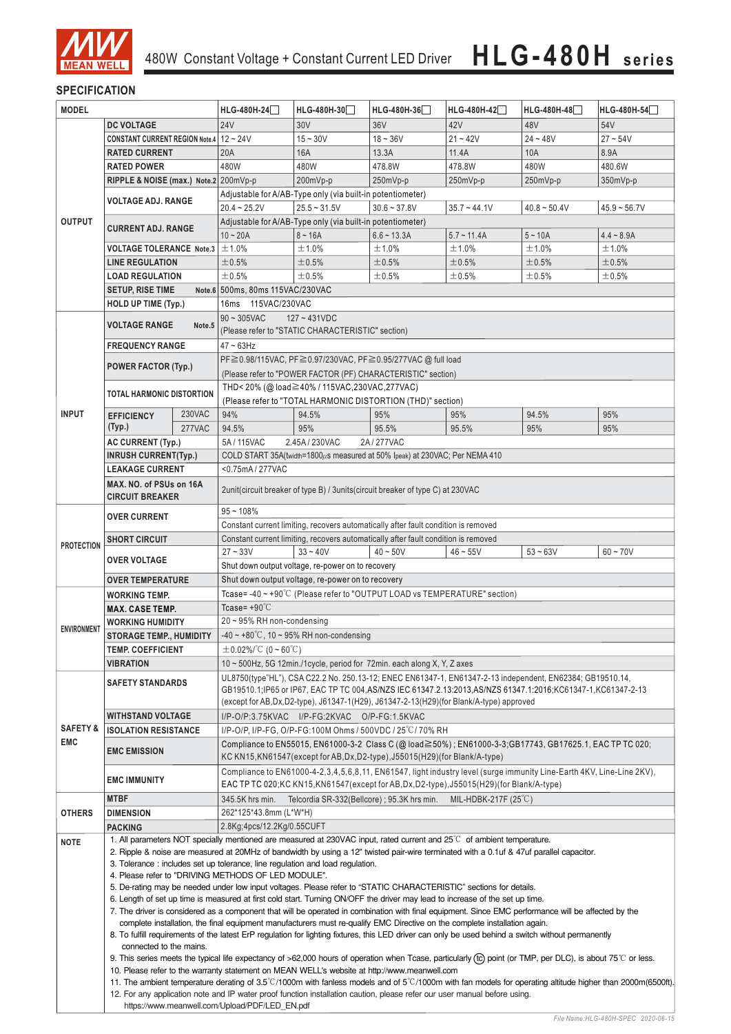

## **SPECIFICATION**

| <b>MODEL</b>                    |                                                                                                                                                                                                                           |                                                                                                                                                                                                                                                                                                                      | HLG-480H-24                                                                                                                                                                                                    | HLG-480H-30                                                                        | HLG-480H-36    | HLG-480H-42                                                               | HLG-480H-48                                                                                              | HLG-480H-54    |
|---------------------------------|---------------------------------------------------------------------------------------------------------------------------------------------------------------------------------------------------------------------------|----------------------------------------------------------------------------------------------------------------------------------------------------------------------------------------------------------------------------------------------------------------------------------------------------------------------|----------------------------------------------------------------------------------------------------------------------------------------------------------------------------------------------------------------|------------------------------------------------------------------------------------|----------------|---------------------------------------------------------------------------|----------------------------------------------------------------------------------------------------------|----------------|
|                                 | <b>DC VOLTAGE</b>                                                                                                                                                                                                         |                                                                                                                                                                                                                                                                                                                      | <b>24V</b>                                                                                                                                                                                                     | 30V                                                                                | 36V            | 42V                                                                       | 48V                                                                                                      | 54V            |
|                                 | CONSTANT CURRENT REGION Note.4 12 ~ 24V                                                                                                                                                                                   |                                                                                                                                                                                                                                                                                                                      |                                                                                                                                                                                                                | $15 - 30V$                                                                         | $18 - 36V$     | $21 - 42V$                                                                | $24 - 48V$                                                                                               | $27 - 54V$     |
|                                 | <b>RATED CURRENT</b>                                                                                                                                                                                                      |                                                                                                                                                                                                                                                                                                                      | 20A                                                                                                                                                                                                            | 16A                                                                                | 13.3A          | 11.4A                                                                     | 10A                                                                                                      | 8.9A           |
|                                 | <b>RATED POWER</b>                                                                                                                                                                                                        |                                                                                                                                                                                                                                                                                                                      | 480W                                                                                                                                                                                                           | 480W                                                                               | 478.8W         | 478.8W                                                                    | 480W                                                                                                     | 480.6W         |
|                                 | RIPPLE & NOISE (max.) Note.2 200mVp-p                                                                                                                                                                                     |                                                                                                                                                                                                                                                                                                                      |                                                                                                                                                                                                                | 200mVp-p                                                                           | 250mVp-p       | $250mVp-p$                                                                | 250mVp-p                                                                                                 | $350mVp-p$     |
|                                 |                                                                                                                                                                                                                           |                                                                                                                                                                                                                                                                                                                      |                                                                                                                                                                                                                | Adjustable for A/AB-Type only (via built-in potentiometer)                         |                |                                                                           |                                                                                                          |                |
|                                 | <b>VOLTAGE ADJ. RANGE</b>                                                                                                                                                                                                 |                                                                                                                                                                                                                                                                                                                      | $20.4 - 25.2V$                                                                                                                                                                                                 | $25.5 - 31.5V$                                                                     | $30.6 - 37.8V$ | $35.7 - 44.1V$                                                            | $40.8 \sim 50.4$ V                                                                                       | $45.9 - 56.7V$ |
| <b>OUTPUT</b>                   |                                                                                                                                                                                                                           |                                                                                                                                                                                                                                                                                                                      | Adjustable for A/AB-Type only (via built-in potentiometer)                                                                                                                                                     |                                                                                    |                |                                                                           |                                                                                                          |                |
|                                 | <b>CURRENT ADJ. RANGE</b>                                                                                                                                                                                                 |                                                                                                                                                                                                                                                                                                                      | $10 - 20A$                                                                                                                                                                                                     | $8 - 16A$                                                                          | $6.6 - 13.3A$  | $5.7 - 11.4A$                                                             | $5 - 10A$                                                                                                | $4.4 - 8.9A$   |
| <b>VOLTAGE TOLERANCE Note.3</b> |                                                                                                                                                                                                                           |                                                                                                                                                                                                                                                                                                                      | ±1.0%                                                                                                                                                                                                          | ±1.0%                                                                              | ±1.0%          | ±1.0%                                                                     | ±1.0%                                                                                                    | ±1.0%          |
|                                 | <b>LINE REGULATION</b>                                                                                                                                                                                                    |                                                                                                                                                                                                                                                                                                                      | ±0.5%                                                                                                                                                                                                          | $\pm 0.5\%$                                                                        | ±0.5%          | ±0.5%                                                                     | ±0.5%                                                                                                    | ±0.5%          |
|                                 | <b>LOAD REGULATION</b>                                                                                                                                                                                                    |                                                                                                                                                                                                                                                                                                                      | ±0.5%                                                                                                                                                                                                          | ±0.5%                                                                              | $\pm 0.5\%$    | $\pm 0.5\%$                                                               | ±0.5%                                                                                                    | $\pm 0.5\%$    |
|                                 | <b>SETUP, RISE TIME</b>                                                                                                                                                                                                   |                                                                                                                                                                                                                                                                                                                      | Note.6 500ms, 80ms 115VAC/230VAC                                                                                                                                                                               |                                                                                    |                |                                                                           |                                                                                                          |                |
|                                 | HOLD UP TIME (Typ.)                                                                                                                                                                                                       |                                                                                                                                                                                                                                                                                                                      | 16ms  115VAC/230VAC                                                                                                                                                                                            |                                                                                    |                |                                                                           |                                                                                                          |                |
|                                 |                                                                                                                                                                                                                           |                                                                                                                                                                                                                                                                                                                      | $90 \sim 305$ VAC                                                                                                                                                                                              | $127 - 431VDC$                                                                     |                |                                                                           |                                                                                                          |                |
|                                 | <b>VOLTAGE RANGE</b>                                                                                                                                                                                                      | Note.5                                                                                                                                                                                                                                                                                                               |                                                                                                                                                                                                                | (Please refer to "STATIC CHARACTERISTIC" section)                                  |                |                                                                           |                                                                                                          |                |
|                                 | <b>FREQUENCY RANGE</b>                                                                                                                                                                                                    |                                                                                                                                                                                                                                                                                                                      | $47 \sim 63$ Hz                                                                                                                                                                                                |                                                                                    |                |                                                                           |                                                                                                          |                |
|                                 |                                                                                                                                                                                                                           |                                                                                                                                                                                                                                                                                                                      |                                                                                                                                                                                                                | PF≧0.98/115VAC, PF≧0.97/230VAC, PF≧0.95/277VAC @ full load                         |                |                                                                           |                                                                                                          |                |
|                                 | <b>POWER FACTOR (Typ.)</b>                                                                                                                                                                                                |                                                                                                                                                                                                                                                                                                                      |                                                                                                                                                                                                                | (Please refer to "POWER FACTOR (PF) CHARACTERISTIC" section)                       |                |                                                                           |                                                                                                          |                |
|                                 |                                                                                                                                                                                                                           |                                                                                                                                                                                                                                                                                                                      |                                                                                                                                                                                                                | THD < 20% (@ load≧40% / 115VAC, 230VAC, 277VAC)                                    |                |                                                                           |                                                                                                          |                |
|                                 | <b>TOTAL HARMONIC DISTORTION</b>                                                                                                                                                                                          |                                                                                                                                                                                                                                                                                                                      |                                                                                                                                                                                                                | (Please refer to "TOTAL HARMONIC DISTORTION (THD)" section)                        |                |                                                                           |                                                                                                          |                |
| <b>INPUT</b>                    | <b>EFFICIENCY</b>                                                                                                                                                                                                         | 230VAC                                                                                                                                                                                                                                                                                                               | 94%                                                                                                                                                                                                            | 94.5%                                                                              | 95%            | 95%                                                                       | 94.5%                                                                                                    | 95%            |
|                                 | (Typ.)                                                                                                                                                                                                                    | 277VAC                                                                                                                                                                                                                                                                                                               | 94.5%                                                                                                                                                                                                          | 95%                                                                                | 95.5%          | 95.5%                                                                     | 95%                                                                                                      | 95%            |
|                                 | <b>AC CURRENT (Typ.)</b>                                                                                                                                                                                                  |                                                                                                                                                                                                                                                                                                                      | 5A / 115VAC                                                                                                                                                                                                    | 2.45A / 230VAC                                                                     | 2A/277VAC      |                                                                           |                                                                                                          |                |
|                                 | <b>INRUSH CURRENT(Typ.)</b>                                                                                                                                                                                               |                                                                                                                                                                                                                                                                                                                      |                                                                                                                                                                                                                | COLD START 35A(twidth=1800µs measured at 50% Ipeak) at 230VAC; Per NEMA 410        |                |                                                                           |                                                                                                          |                |
|                                 | <b>LEAKAGE CURRENT</b>                                                                                                                                                                                                    |                                                                                                                                                                                                                                                                                                                      | <0.75mA/277VAC                                                                                                                                                                                                 |                                                                                    |                |                                                                           |                                                                                                          |                |
|                                 | MAX. NO. of PSUs on 16A<br><b>CIRCUIT BREAKER</b>                                                                                                                                                                         |                                                                                                                                                                                                                                                                                                                      | 2unit(circuit breaker of type B) / 3units(circuit breaker of type C) at 230VAC                                                                                                                                 |                                                                                    |                |                                                                           |                                                                                                          |                |
|                                 | <b>OVER CURRENT</b>                                                                                                                                                                                                       |                                                                                                                                                                                                                                                                                                                      | $95 - 108%$                                                                                                                                                                                                    |                                                                                    |                |                                                                           |                                                                                                          |                |
|                                 |                                                                                                                                                                                                                           |                                                                                                                                                                                                                                                                                                                      | Constant current limiting, recovers automatically after fault condition is removed                                                                                                                             |                                                                                    |                |                                                                           |                                                                                                          |                |
| <b>PROTECTION</b>               | <b>SHORT CIRCUIT</b>                                                                                                                                                                                                      |                                                                                                                                                                                                                                                                                                                      |                                                                                                                                                                                                                | Constant current limiting, recovers automatically after fault condition is removed |                |                                                                           |                                                                                                          |                |
|                                 | OVER VOLTAGE                                                                                                                                                                                                              |                                                                                                                                                                                                                                                                                                                      | $27 - 33V$                                                                                                                                                                                                     | $33 - 40V$                                                                         | $40 - 50V$     | $46 - 55V$                                                                | $53 - 63V$                                                                                               | $60 - 70V$     |
|                                 |                                                                                                                                                                                                                           |                                                                                                                                                                                                                                                                                                                      | Shut down output voltage, re-power on to recovery                                                                                                                                                              |                                                                                    |                |                                                                           |                                                                                                          |                |
|                                 | <b>OVER TEMPERATURE</b>                                                                                                                                                                                                   |                                                                                                                                                                                                                                                                                                                      | Shut down output voltage, re-power on to recovery                                                                                                                                                              |                                                                                    |                |                                                                           |                                                                                                          |                |
|                                 | Tcase=-40~+90°C (Please refer to "OUTPUT LOAD vs TEMPERATURE" section)<br><b>WORKING TEMP.</b>                                                                                                                            |                                                                                                                                                                                                                                                                                                                      |                                                                                                                                                                                                                |                                                                                    |                |                                                                           |                                                                                                          |                |
|                                 | <b>MAX. CASE TEMP.</b>                                                                                                                                                                                                    |                                                                                                                                                                                                                                                                                                                      | Tcase= $+90^{\circ}$ C                                                                                                                                                                                         |                                                                                    |                |                                                                           |                                                                                                          |                |
| <b>ENVIRONMENT</b>              | WORKING HUMIDITY                                                                                                                                                                                                          |                                                                                                                                                                                                                                                                                                                      | $20 \sim 95\%$ RH non-condensing                                                                                                                                                                               |                                                                                    |                |                                                                           |                                                                                                          |                |
|                                 | <b>STORAGE TEMP., HUMIDITY</b>                                                                                                                                                                                            |                                                                                                                                                                                                                                                                                                                      | $-40 \sim +80^{\circ}$ C, 10 ~ 95% RH non-condensing                                                                                                                                                           |                                                                                    |                |                                                                           |                                                                                                          |                |
|                                 | <b>TEMP. COEFFICIENT</b>                                                                                                                                                                                                  |                                                                                                                                                                                                                                                                                                                      | $\pm$ 0.02%/°C (0 ~ 60°C)                                                                                                                                                                                      |                                                                                    |                |                                                                           |                                                                                                          |                |
|                                 | <b>VIBRATION</b>                                                                                                                                                                                                          |                                                                                                                                                                                                                                                                                                                      |                                                                                                                                                                                                                | 10 $\sim$ 500Hz, 5G 12min./1 cycle, period for 72min. each along X, Y, Z axes      |                |                                                                           |                                                                                                          |                |
|                                 | <b>SAFETY STANDARDS</b>                                                                                                                                                                                                   | UL8750(type"HL"), CSA C22.2 No. 250.13-12; ENEC EN61347-1, EN61347-2-13 independent, EN62384; GB19510.14,<br>GB19510.1;IP65 or IP67, EAC TP TC 004,AS/NZS IEC 61347.2.13:2013,AS/NZS 61347.1:2016;KC61347-1,KC61347-2-13<br>(except for AB, Dx, D2-type), J61347-1(H29), J61347-2-13(H29)(for Blank/A-type) approved |                                                                                                                                                                                                                |                                                                                    |                |                                                                           |                                                                                                          |                |
|                                 | <b>WITHSTAND VOLTAGE</b><br>I/P-O/P:3.75KVAC I/P-FG:2KVAC O/P-FG:1.5KVAC                                                                                                                                                  |                                                                                                                                                                                                                                                                                                                      |                                                                                                                                                                                                                |                                                                                    |                |                                                                           |                                                                                                          |                |
| <b>SAFETY &amp;</b>             | <b>ISOLATION RESISTANCE</b>                                                                                                                                                                                               |                                                                                                                                                                                                                                                                                                                      |                                                                                                                                                                                                                | I/P-O/P, I/P-FG, O/P-FG:100M Ohms / 500VDC / 25 °C/ 70% RH                         |                |                                                                           |                                                                                                          |                |
| <b>EMC</b>                      |                                                                                                                                                                                                                           |                                                                                                                                                                                                                                                                                                                      |                                                                                                                                                                                                                |                                                                                    |                |                                                                           | Compliance to EN55015, EN61000-3-2 Class C (@ load≧50%); EN61000-3-3; GB17743, GB17625.1, EAC TP TC 020; |                |
|                                 | <b>EMC EMISSION</b>                                                                                                                                                                                                       | KC KN15, KN61547 (except for AB, Dx, D2-type), J55015 (H29) (for Blank/A-type)                                                                                                                                                                                                                                       |                                                                                                                                                                                                                |                                                                                    |                |                                                                           |                                                                                                          |                |
|                                 | <b>EMC IMMUNITY</b>                                                                                                                                                                                                       |                                                                                                                                                                                                                                                                                                                      | Compliance to EN61000-4-2,3,4,5,6,8,11, EN61547, light industry level (surge immunity Line-Earth 4KV, Line-Line 2KV),<br>EAC TP TC 020;KC KN15,KN61547(except for AB,Dx,D2-type),J55015(H29)(for Blank/A-type) |                                                                                    |                |                                                                           |                                                                                                          |                |
|                                 | <b>MTBF</b>                                                                                                                                                                                                               |                                                                                                                                                                                                                                                                                                                      | 345.5K hrs min.                                                                                                                                                                                                |                                                                                    |                | Telcordia SR-332(Bellcore); 95.3K hrs min. MIL-HDBK-217F (25 $\degree$ C) |                                                                                                          |                |
| <b>OTHERS</b>                   | <b>DIMENSION</b>                                                                                                                                                                                                          | 262*125*43.8mm (L*W*H)                                                                                                                                                                                                                                                                                               |                                                                                                                                                                                                                |                                                                                    |                |                                                                           |                                                                                                          |                |
|                                 | <b>PACKING</b>                                                                                                                                                                                                            |                                                                                                                                                                                                                                                                                                                      | 2.8Kg;4pcs/12.2Kg/0.55CUFT                                                                                                                                                                                     |                                                                                    |                |                                                                           |                                                                                                          |                |
| <b>NOTE</b>                     | 1. All parameters NOT specially mentioned are measured at 230VAC input, rated current and 25°C of ambient temperature.                                                                                                    |                                                                                                                                                                                                                                                                                                                      |                                                                                                                                                                                                                |                                                                                    |                |                                                                           |                                                                                                          |                |
|                                 | 2. Ripple & noise are measured at 20MHz of bandwidth by using a 12" twisted pair-wire terminated with a 0.1uf & 47uf parallel capacitor.<br>3. Tolerance: includes set up tolerance, line regulation and load regulation. |                                                                                                                                                                                                                                                                                                                      |                                                                                                                                                                                                                |                                                                                    |                |                                                                           |                                                                                                          |                |
|                                 |                                                                                                                                                                                                                           |                                                                                                                                                                                                                                                                                                                      | 4. Please refer to "DRIVING METHODS OF LED MODULE".                                                                                                                                                            |                                                                                    |                |                                                                           |                                                                                                          |                |
|                                 |                                                                                                                                                                                                                           |                                                                                                                                                                                                                                                                                                                      | 5. De-rating may be needed under low input voltages. Please refer to "STATIC CHARACTERISTIC" sections for details.                                                                                             |                                                                                    |                |                                                                           |                                                                                                          |                |
|                                 |                                                                                                                                                                                                                           |                                                                                                                                                                                                                                                                                                                      | 6. Length of set up time is measured at first cold start. Turning ON/OFF the driver may lead to increase of the set up time.                                                                                   |                                                                                    |                |                                                                           |                                                                                                          |                |
|                                 |                                                                                                                                                                                                                           |                                                                                                                                                                                                                                                                                                                      | 7. The driver is considered as a component that will be operated in combination with final equipment. Since EMC performance will be affected by the                                                            |                                                                                    |                |                                                                           |                                                                                                          |                |
|                                 |                                                                                                                                                                                                                           | complete installation, the final equipment manufacturers must re-qualify EMC Directive on the complete installation again.<br>8. To fulfill requirements of the latest ErP regulation for lighting fixtures, this LED driver can only be used behind a switch without permanently                                    |                                                                                                                                                                                                                |                                                                                    |                |                                                                           |                                                                                                          |                |
|                                 | connected to the mains.                                                                                                                                                                                                   |                                                                                                                                                                                                                                                                                                                      |                                                                                                                                                                                                                |                                                                                    |                |                                                                           |                                                                                                          |                |
|                                 |                                                                                                                                                                                                                           | 9. This series meets the typical life expectancy of >62,000 hours of operation when Tcase, particularly (tc) point (or TMP, per DLC), is about 75℃ or less.                                                                                                                                                          |                                                                                                                                                                                                                |                                                                                    |                |                                                                           |                                                                                                          |                |
|                                 |                                                                                                                                                                                                                           | 10. Please refer to the warranty statement on MEAN WELL's website at http://www.meanwell.com                                                                                                                                                                                                                         |                                                                                                                                                                                                                |                                                                                    |                |                                                                           |                                                                                                          |                |
|                                 |                                                                                                                                                                                                                           | 11. The ambient temperature derating of 3.5°C/1000m with fanless models and of 5°C/1000m with fan models for operating altitude higher than 2000m(6500ft).                                                                                                                                                           |                                                                                                                                                                                                                |                                                                                    |                |                                                                           |                                                                                                          |                |
|                                 | 12. For any application note and IP water proof function installation caution, please refer our user manual before using.                                                                                                 |                                                                                                                                                                                                                                                                                                                      |                                                                                                                                                                                                                |                                                                                    |                |                                                                           |                                                                                                          |                |
|                                 | https://www.meanwell.com/Upload/PDF/LED EN.pdf                                                                                                                                                                            |                                                                                                                                                                                                                                                                                                                      |                                                                                                                                                                                                                |                                                                                    |                |                                                                           |                                                                                                          |                |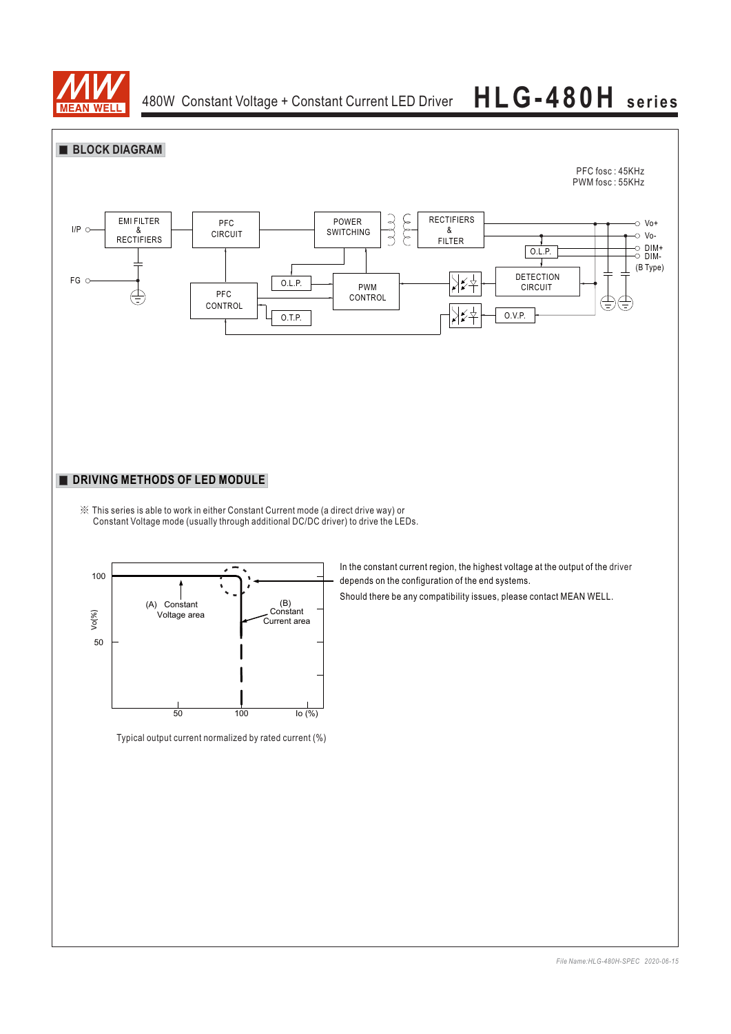

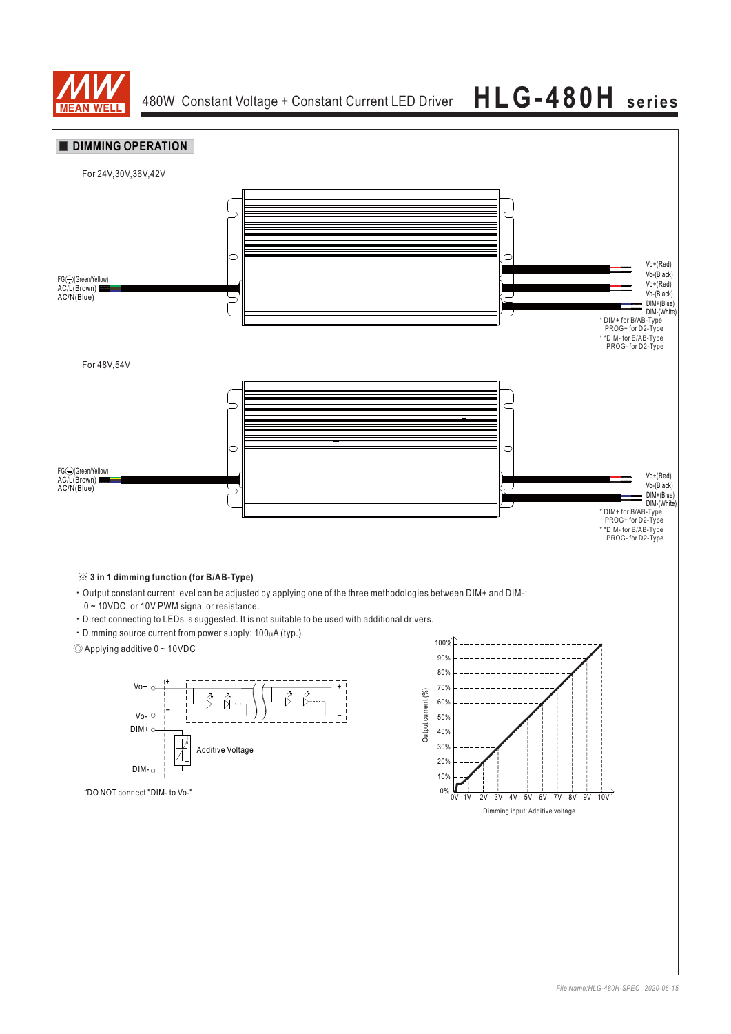

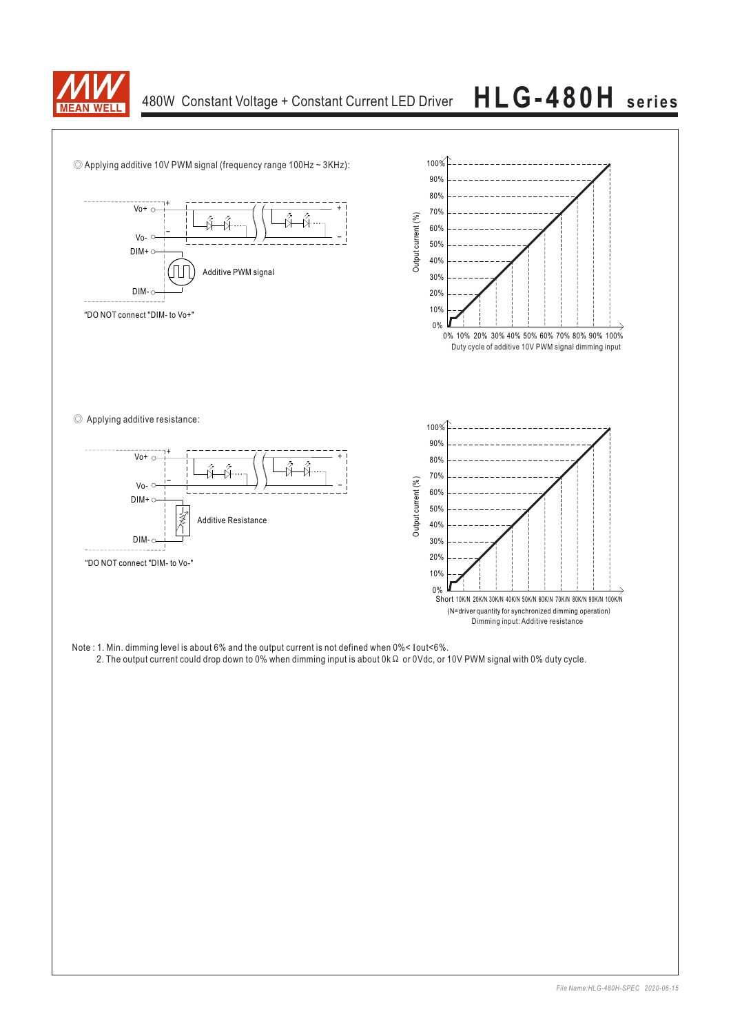

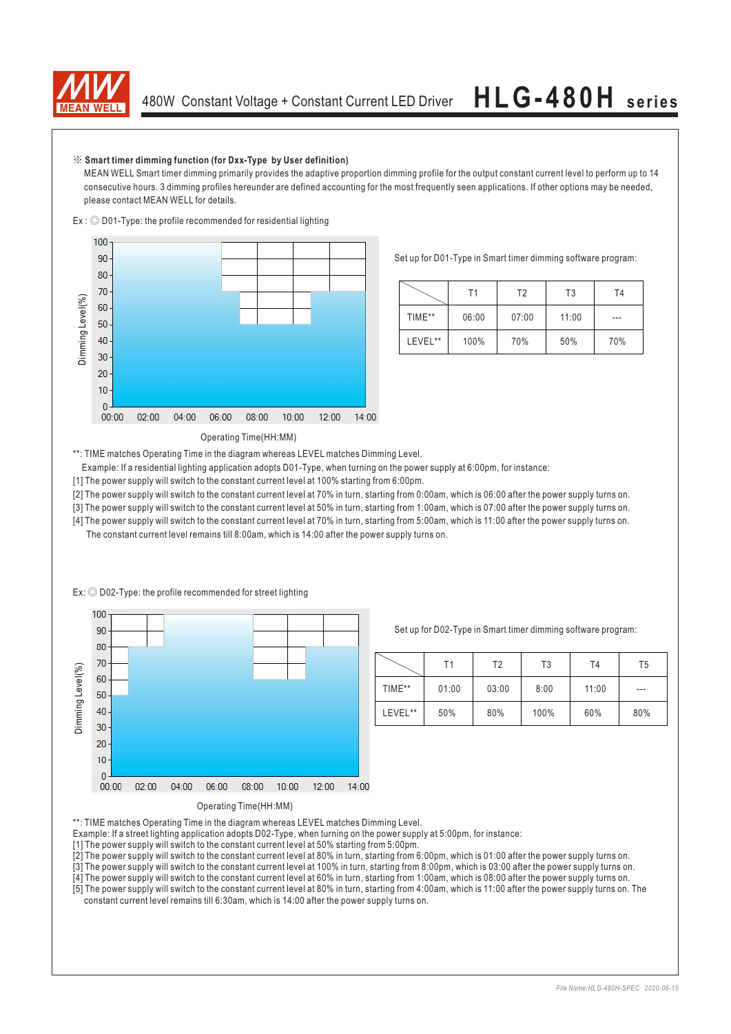

### ※ **Smart timer dimming function (for Dxx-Type by User definition)**

 $Ex: \bigcircled{D}01$ -Type: the profile recommended for residential lighting

MEAN WELL Smart timer dimming primarily provides the adaptive proportion dimming profile for the output constant current level to perform up to 14 consecutive hours. 3 dimming profiles hereunder are defined accounting for the most frequently seen applications. If other options may be needed, please contact MEAN WELL for details.



Set up for D01-Type in Smart timer dimming software program:

|         | Τ1    | T2    | T3    | T4  |
|---------|-------|-------|-------|-----|
| TIME**  | 06:00 | 07:00 | 11:00 | --- |
| LEVEL** | 100%  | 70%   | 50%   | 70% |

### Operating Time(HH:MM)

\*\*: TIME matches Operating Time in the diagram whereas LEVEL matches Dimming Level.

- Example: If a residential lighting application adopts D01-Type, when turning on the power supply at 6:00pm, for instance:
- [1] The power supply will switch to the constant current level at 100% starting from 6:00pm.
- [2] The power supply will switch to the constant current level at 70% in turn, starting from 0:00am, which is 06:00 after the power supply turns on.
- [3] The power supply will switch to the constant current level at 50% in turn, starting from 1:00am, which is 07:00 after the power supply turns on.
- [4] The power supply will switch to the constant current level at 70% in turn, starting from 5:00am, which is 11:00 after the power supply turns on. The constant current level remains till 8:00am, which is 14:00 after the power supply turns on.



Ex:  $\odot$  D02-Type: the profile recommended for street lighting

Set up for D02-Type in Smart timer dimming software program:

|         | T1    | T2    | T3   | T <sub>4</sub> | T5    |
|---------|-------|-------|------|----------------|-------|
| TIME**  | 01:00 | 03:00 | 8:00 | 11:00          | $---$ |
| LEVEL** | 50%   | 80%   | 100% | 60%            | 80%   |

\*\*: TIME matches Operating Time in the diagram whereas LEVEL matches Dimming Level.

Example: If a street lighting application adopts D02-Type, when turning on the power supply at 5:00pm, for instance:

[1] The power supply will switch to the constant current level at 50% starting from 5:00pm.

[2] The power supply will switch to the constant current level at 80% in turn, starting from 6:00pm, which is 01:00 after the power supply turns on.

[3] The power supply will switch to the constant current level at 100% in turn, starting from 8:00pm, which is 03:00 after the power supply turns on.

[4] The power supply will switch to the constant current level at 60% in turn, starting from 1:00am, which is 08:00 after the power supply turns on.

[5] The power supply will switch to the constant current level at 80% in turn, starting from 4:00am, which is 11:00 after the power supply turns on. The constant current level remains till 6:30am, which is 14:00 after the power supply turns on.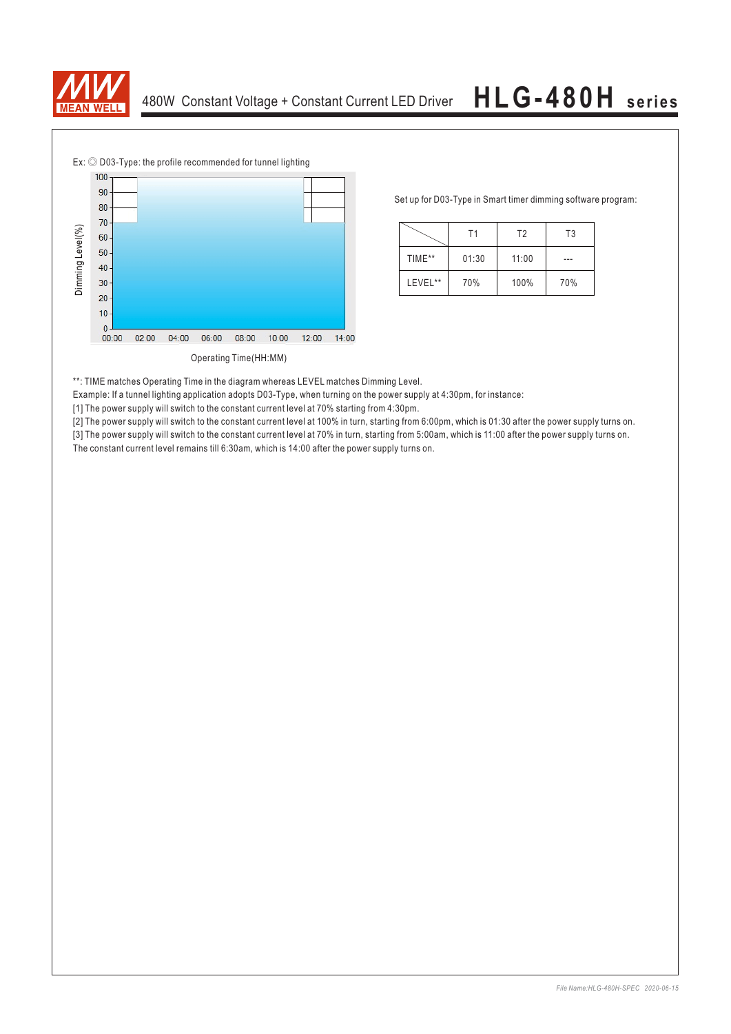



Set up for D03-Type in Smart timer dimming software program:

|         | Τ1    | T <sub>2</sub> | T <sub>3</sub> |
|---------|-------|----------------|----------------|
| TIME**  | 01:30 | 11:00          |                |
| LEVEL** | 70%   | 100%           | 70%            |

\*\*: TIME matches Operating Time in the diagram whereas LEVEL matches Dimming Level.

Example: If a tunnel lighting application adopts D03-Type, when turning on the power supply at 4:30pm, for instance:

[1] The power supply will switch to the constant current level at 70% starting from 4:30pm.

[2] The power supply will switch to the constant current level at 100% in turn, starting from 6:00pm, which is 01:30 after the power supply turns on. [3] The power supply will switch to the constant current level at 70% in turn, starting from 5:00am, which is 11:00 after the power supply turns on.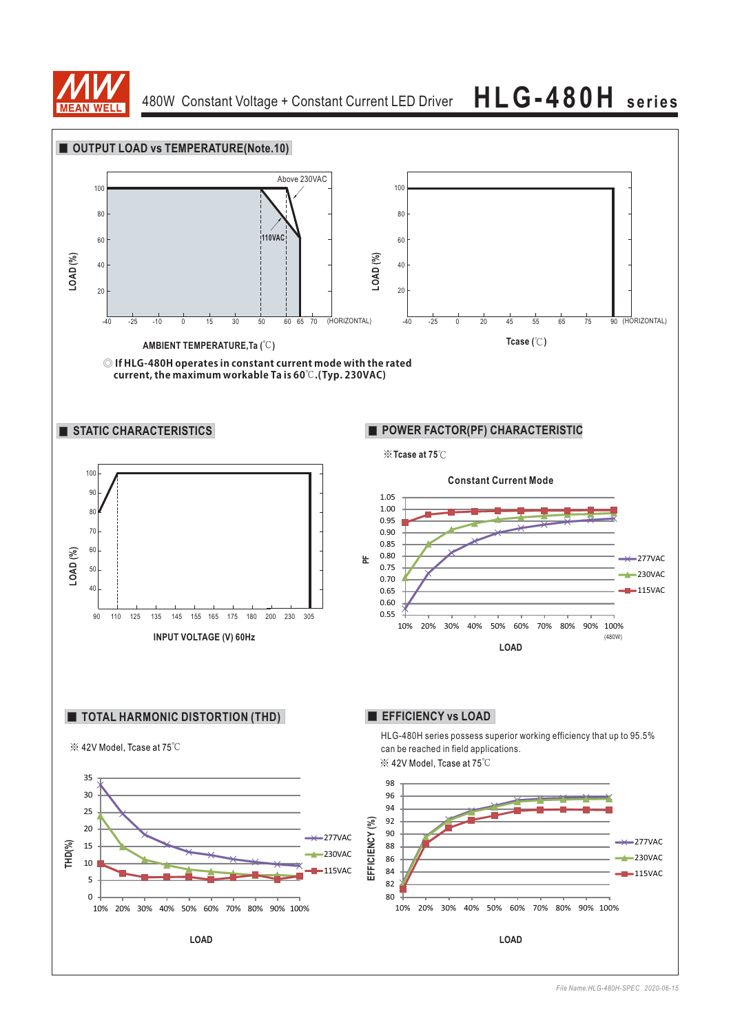

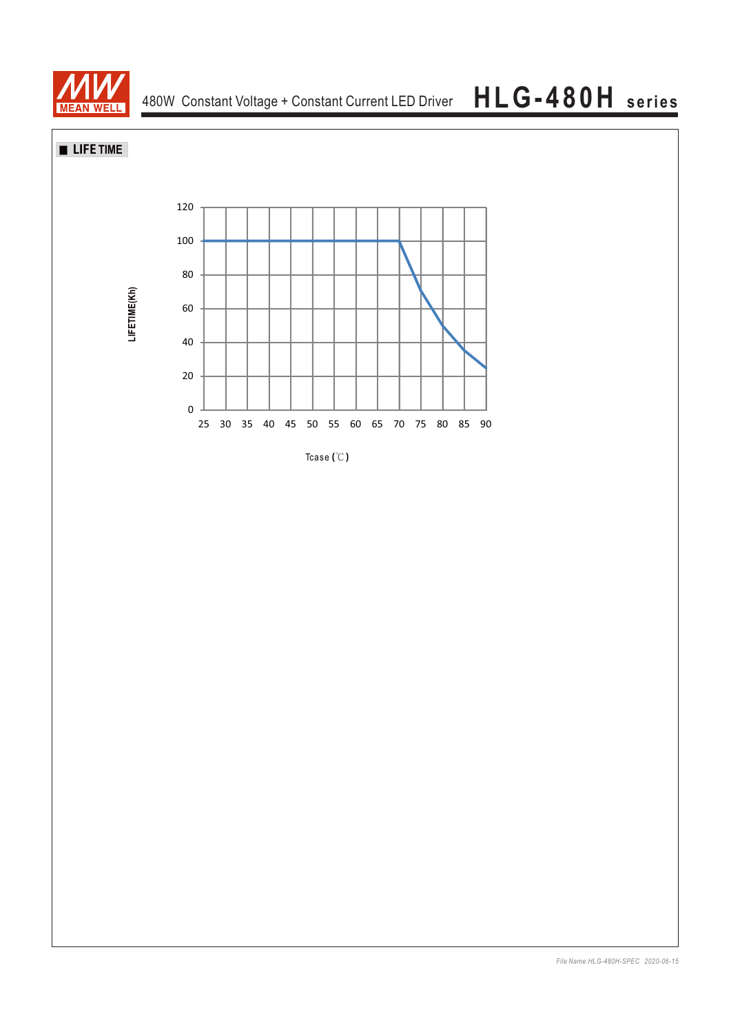

**LIFE TIME**



Tcase **( )** ℃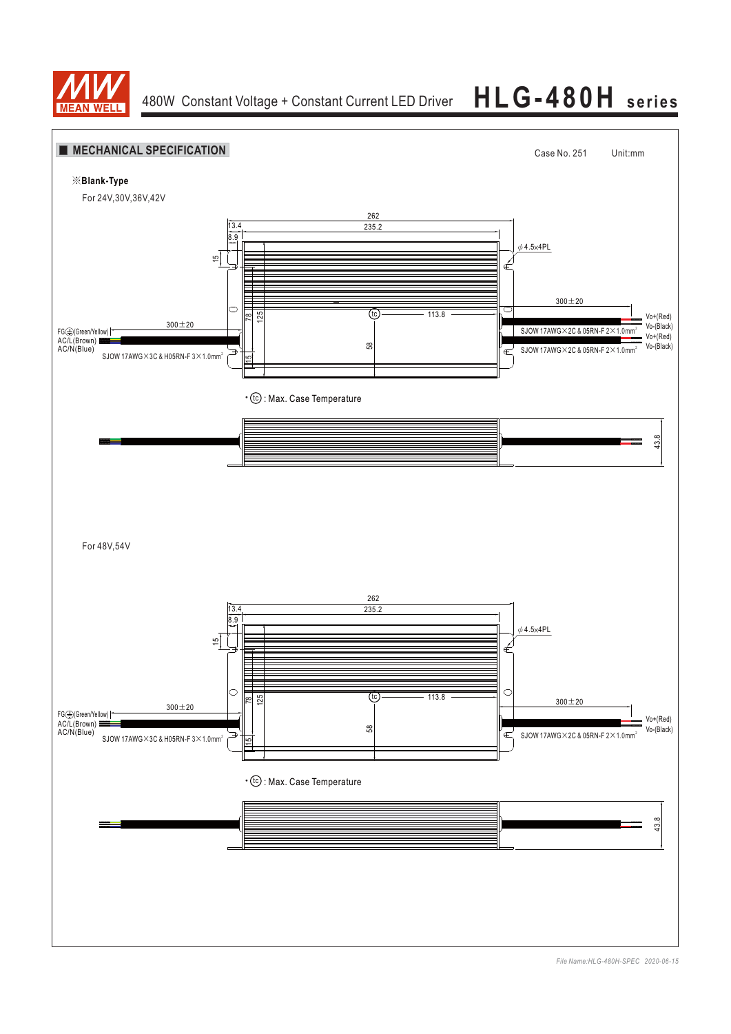



*File Name:HLG-480H-SPEC 2020-06-15*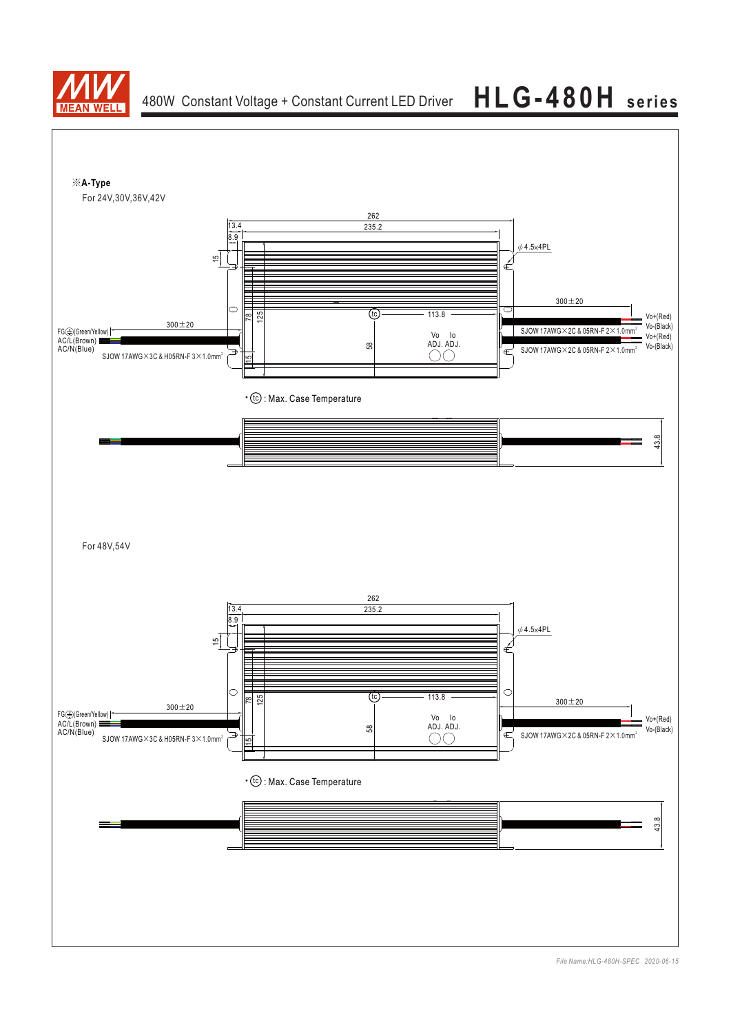



*File Name:HLG-480H-SPEC 2020-06-15*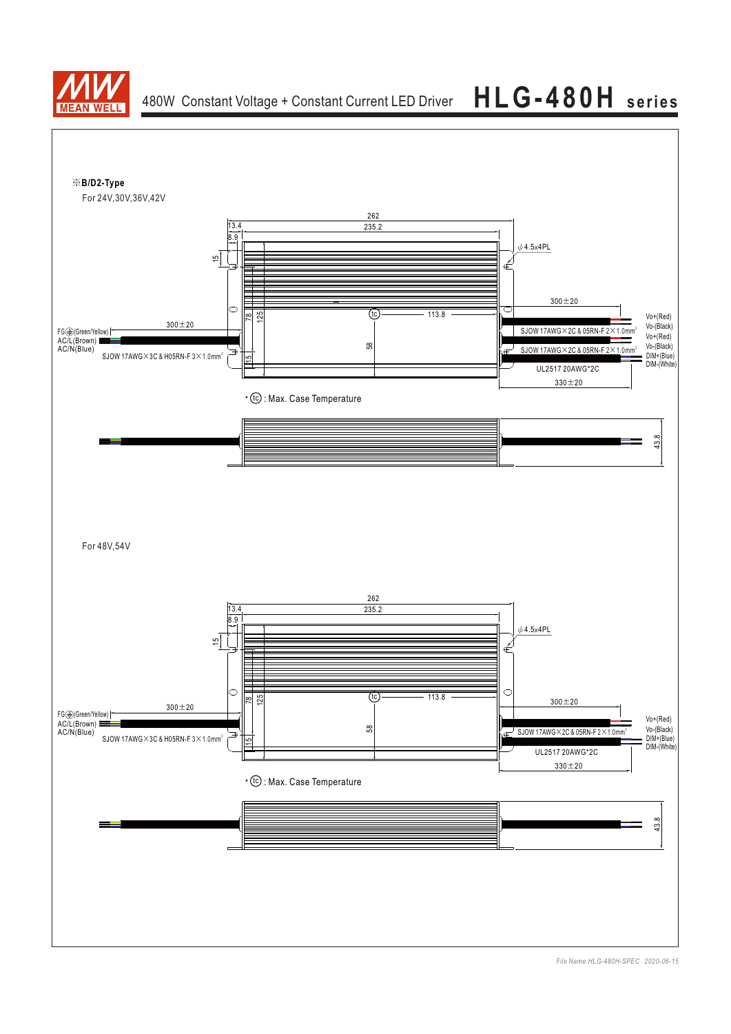

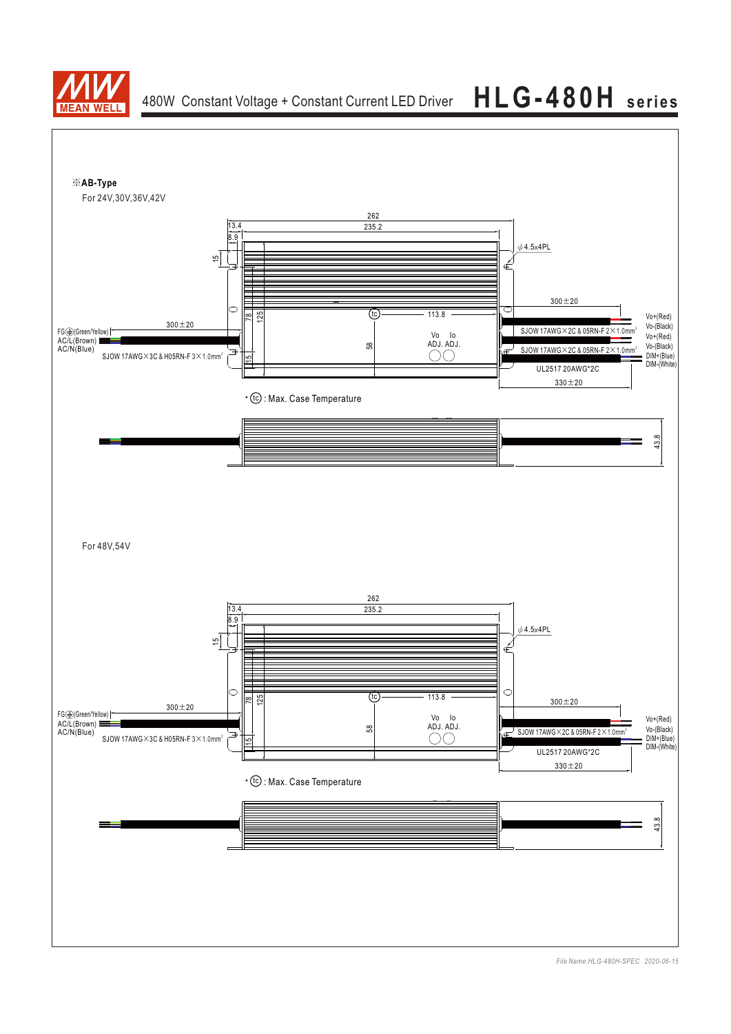



*File Name:HLG-480H-SPEC 2020-06-15*